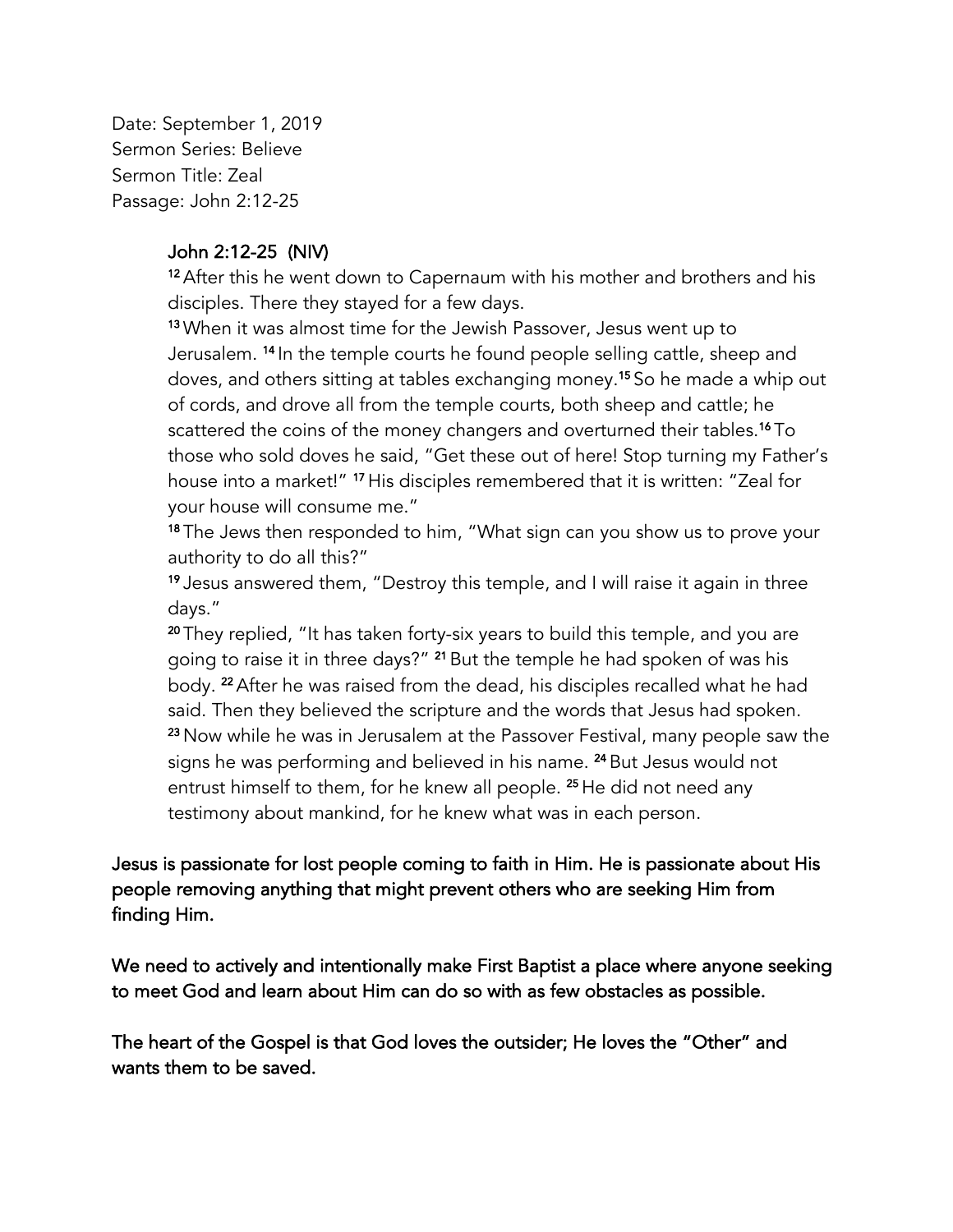Date: September 1, 2019 Sermon Series: Believe Sermon Title: Zeal Passage: John 2:12-25

## John 2:12-25 (NIV)

<sup>12</sup> After this he went down to Capernaum with his mother and brothers and his disciples. There they stayed for a few days.

13 When it was almost time for the Jewish Passover, Jesus went up to Jerusalem. <sup>14</sup> In the temple courts he found people selling cattle, sheep and doves, and others sitting at tables exchanging money.15 So he made a whip out of cords, and drove all from the temple courts, both sheep and cattle; he scattered the coins of the money changers and overturned their tables.16 To those who sold doves he said, "Get these out of here! Stop turning my Father's house into a market!" <sup>17</sup> His disciples remembered that it is written: "Zeal for your house will consume me."

18 The Jews then responded to him, "What sign can you show us to prove your authority to do all this?"

19 Jesus answered them, "Destroy this temple, and I will raise it again in three days."

<sup>20</sup> They replied, "It has taken forty-six years to build this temple, and you are going to raise it in three days?" <sup>21</sup> But the temple he had spoken of was his body. <sup>22</sup> After he was raised from the dead, his disciples recalled what he had said. Then they believed the scripture and the words that Jesus had spoken. <sup>23</sup> Now while he was in Jerusalem at the Passover Festival, many people saw the signs he was performing and believed in his name. <sup>24</sup> But Jesus would not entrust himself to them, for he knew all people. <sup>25</sup> He did not need any testimony about mankind, for he knew what was in each person.

Jesus is passionate for lost people coming to faith in Him. He is passionate about His people removing anything that might prevent others who are seeking Him from finding Him.

We need to actively and intentionally make First Baptist a place where anyone seeking to meet God and learn about Him can do so with as few obstacles as possible.

The heart of the Gospel is that God loves the outsider; He loves the "Other" and wants them to be saved.